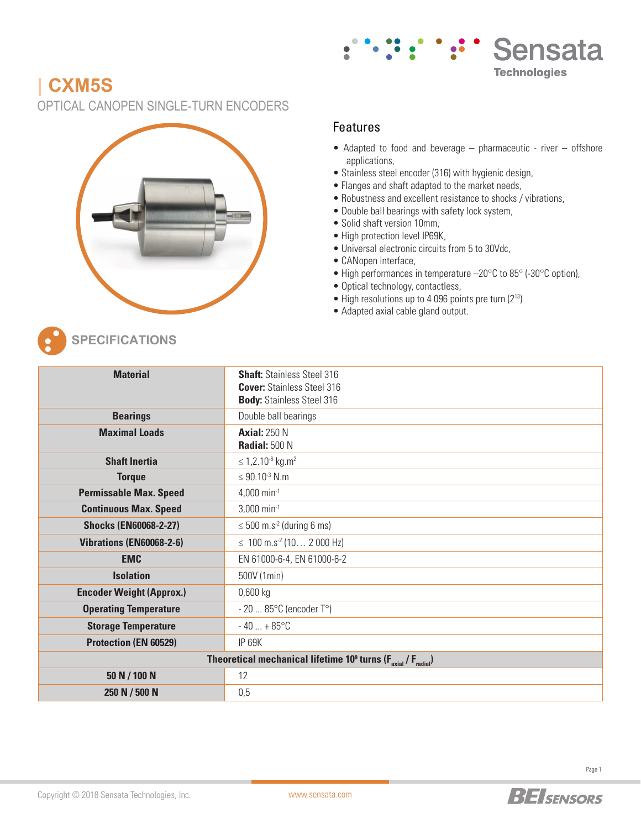

# **| CXM5S**

OPTICAL CANOPEN SINGLE-TURN ENCODERS



#### Features

- Adapted to food and beverage pharmaceutic river offshore applications,
- Stainless steel encoder (316) with hygienic design,
- Flanges and shaft adapted to the market needs,
- Robustness and excellent resistance to shocks / vibrations,
- Double ball bearings with safety lock system,
- Solid shaft version 10mm,
- High protection level IP69K,
- Universal electronic circuits from 5 to 30Vdc,
- CANopen interface,
- High performances in temperature –20°C to 85° (-30°C option),
- Optical technology, contactless,
- High resolutions up to 4 096 points pre turn (213)
- Adapted axial cable gland output.



**SPECIFICATIONS**

| <b>Material</b>                                                                       | <b>Shaft:</b> Stainless Steel 316<br><b>Cover: Stainless Steel 316</b><br><b>Body: Stainless Steel 316</b> |  |  |  |  |  |  |  |
|---------------------------------------------------------------------------------------|------------------------------------------------------------------------------------------------------------|--|--|--|--|--|--|--|
| <b>Bearings</b>                                                                       | Double ball bearings                                                                                       |  |  |  |  |  |  |  |
| <b>Maximal Loads</b>                                                                  | <b>Axial: 250 N</b><br><b>Radial: 500 N</b>                                                                |  |  |  |  |  |  |  |
| <b>Shaft Inertia</b>                                                                  | $\leq 1,2.10^{-6}$ kg.m <sup>2</sup>                                                                       |  |  |  |  |  |  |  |
| <b>Torque</b>                                                                         | ≤ 90.10 <sup>-3</sup> N.m                                                                                  |  |  |  |  |  |  |  |
| <b>Permissable Max. Speed</b>                                                         | 4,000 min $^{-1}$                                                                                          |  |  |  |  |  |  |  |
| <b>Continuous Max. Speed</b>                                                          | $3,000$ min <sup>-1</sup>                                                                                  |  |  |  |  |  |  |  |
| <b>Shocks (EN60068-2-27)</b>                                                          | $\leq$ 500 m.s <sup>-2</sup> (during 6 ms)                                                                 |  |  |  |  |  |  |  |
| Vibrations (EN60068-2-6)                                                              | $\leq 100$ m.s <sup>-2</sup> (10 2 000 Hz)                                                                 |  |  |  |  |  |  |  |
| <b>EMC</b>                                                                            | EN 61000-6-4, EN 61000-6-2                                                                                 |  |  |  |  |  |  |  |
| <b>Isolation</b>                                                                      | 500V (1min)                                                                                                |  |  |  |  |  |  |  |
| <b>Encoder Weight (Approx.)</b>                                                       | $0,600$ kg                                                                                                 |  |  |  |  |  |  |  |
| <b>Operating Temperature</b>                                                          | $-2085$ °C (encoder T°)                                                                                    |  |  |  |  |  |  |  |
| <b>Storage Temperature</b>                                                            | $-40+85^{\circ}C$                                                                                          |  |  |  |  |  |  |  |
| Protection (EN 60529)                                                                 | <b>IP 69K</b>                                                                                              |  |  |  |  |  |  |  |
| Theoretical mechanical lifetime $10^9$ turns ( $F_{\text{axial}}/F_{\text{radial}}$ ) |                                                                                                            |  |  |  |  |  |  |  |
| 50 N / 100 N                                                                          | 12                                                                                                         |  |  |  |  |  |  |  |
| 250 N / 500 N                                                                         | 0,5                                                                                                        |  |  |  |  |  |  |  |

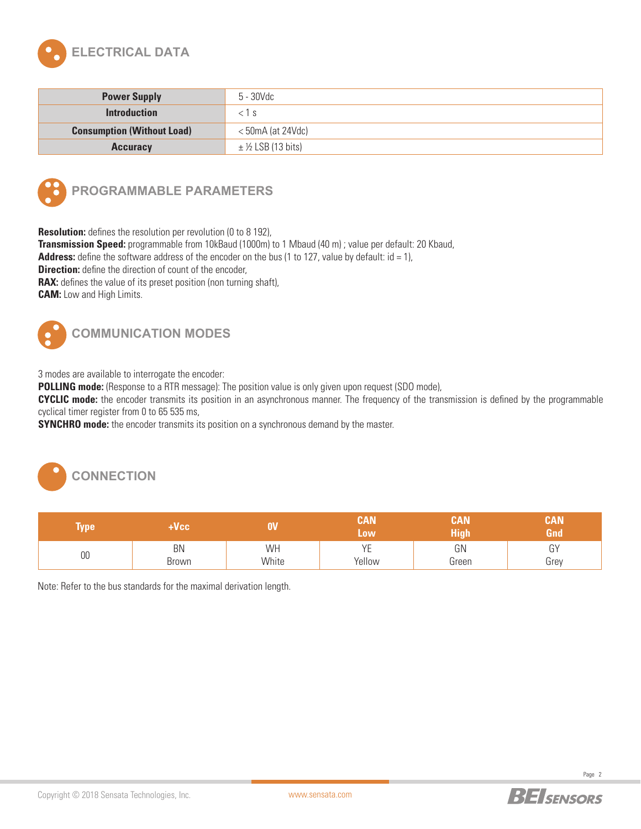

| <b>Power Supply</b>               | 5 - 30Vdc             |
|-----------------------------------|-----------------------|
| <b>Introduction</b>               | $<$ 1 S               |
| <b>Consumption (Without Load)</b> | $<$ 50mA (at 24Vdc)   |
| <b>Accuracy</b>                   | $\pm$ ½ LSB (13 bits) |



### **PROGRAMMABLE PARAMETERS**

**Resolution:** defines the resolution per revolution (0 to 8 192),

**Transmission Speed:** programmable from 10kBaud (1000m) to 1 Mbaud (40 m) ; value per default: 20 Kbaud,

**Address:** define the software address of the encoder on the bus (1 to 127, value by default:  $id = 1$ ),

**Direction:** define the direction of count of the encoder,

**RAX:** defines the value of its preset position (non turning shaft),

**CAM:** Low and High Limits.



## **COMMUNICATION MODES**

3 modes are available to interrogate the encoder:

**POLLING mode:** (Response to a RTR message): The position value is only given upon request (SDO mode),

**CYCLIC mode:** the encoder transmits its position in an asynchronous manner. The frequency of the transmission is defined by the programmable cyclical timer register from 0 to 65 535 ms,

**SYNCHRO mode:** the encoder transmits its position on a synchronous demand by the master.



| <b>Type!</b> | Vcc         |             | CAN<br><b>Low</b>           | CAN<br>High | CAN<br>Gnd |  |
|--------------|-------------|-------------|-----------------------------|-------------|------------|--|
| 00           | BN<br>Brown | WH<br>White | VD<br>$\cdot$ $-$<br>Yellow | GN<br>Green | GY<br>Grey |  |

Note: Refer to the bus standards for the maximal derivation length.

Page 2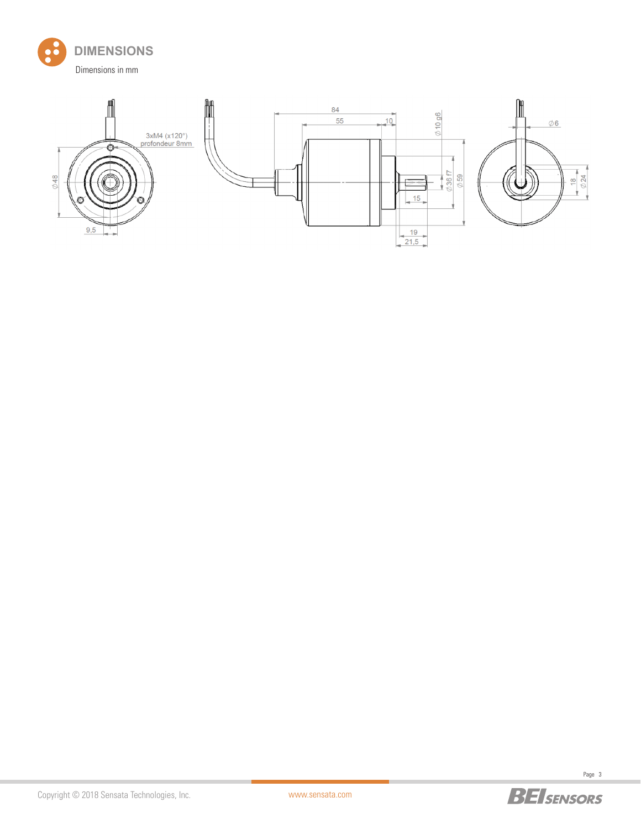







Page 3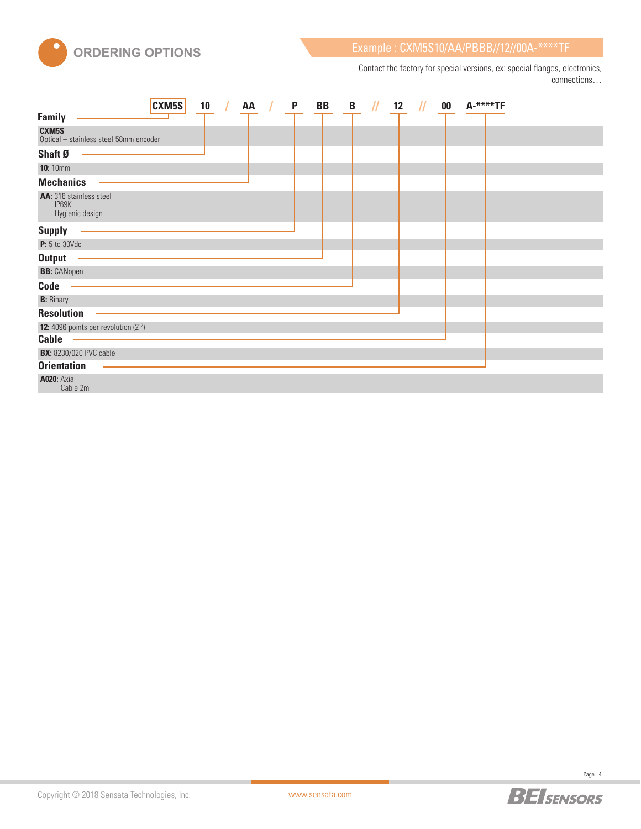

Contact the factory for special versions, ex: special flanges, electronics, connections…

|                                                     | <b>CXM5S</b> | 10 | AA | P | BB | B | $^{\prime\prime}$ | 12 | $^{\prime\prime}$ | $\bf{00}$ | A-****TF |  |
|-----------------------------------------------------|--------------|----|----|---|----|---|-------------------|----|-------------------|-----------|----------|--|
| <b>Family</b>                                       |              |    |    |   |    |   |                   |    |                   |           |          |  |
| CXM5S<br>Optical - stainless steel 58mm encoder     |              |    |    |   |    |   |                   |    |                   |           |          |  |
| Shaft Ø                                             |              |    |    |   |    |   |                   |    |                   |           |          |  |
| <b>10:</b> 10mm                                     |              |    |    |   |    |   |                   |    |                   |           |          |  |
| <b>Mechanics</b>                                    |              |    |    |   |    |   |                   |    |                   |           |          |  |
| AA: 316 stainless steel<br>IP69K<br>Hygienic design |              |    |    |   |    |   |                   |    |                   |           |          |  |
| <b>Supply</b>                                       |              |    |    |   |    |   |                   |    |                   |           |          |  |
| <b>P:</b> 5 to 30Vdc                                |              |    |    |   |    |   |                   |    |                   |           |          |  |
| <b>Output</b>                                       |              |    |    |   |    |   |                   |    |                   |           |          |  |
| <b>BB:</b> CANopen                                  |              |    |    |   |    |   |                   |    |                   |           |          |  |
| Code                                                |              |    |    |   |    |   |                   |    |                   |           |          |  |
| <b>B:</b> Binary                                    |              |    |    |   |    |   |                   |    |                   |           |          |  |
| <b>Resolution</b>                                   |              |    |    |   |    |   |                   |    |                   |           |          |  |
| <b>12:</b> 4096 points per revolution $(2^{12})$    |              |    |    |   |    |   |                   |    |                   |           |          |  |
| <b>Cable</b>                                        |              |    |    |   |    |   |                   |    |                   |           |          |  |
| <b>BX:</b> 8230/020 PVC cable                       |              |    |    |   |    |   |                   |    |                   |           |          |  |
| <b>Orientation</b>                                  |              |    |    |   |    |   |                   |    |                   |           |          |  |
| <b>A020: Axial</b><br>Cable 2m                      |              |    |    |   |    |   |                   |    |                   |           |          |  |